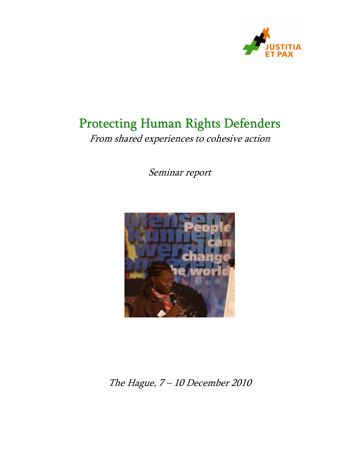

# Protecting Human Rights Defenders

From shared experiences to cohesive action

Seminar report



# The Hague, 7 – 10 December 2010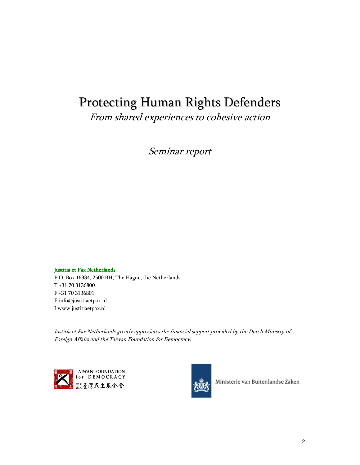# Protecting Human Rights Defenders

From shared experiences to cohesive action

Seminar report

### Justitia et Pax Netherlands

P.O. Box 16334, 2500 BH, The Hague, the Netherlands T +31 70 3136800 F +31 70 3136801 E info@justitiaetpax.nl I www.justitiaetpax.nl

Justitia et Pax Netherlands greatly appreciates the financial support provided by the Dutch Ministry of Foreign Affairs and the Taiwan Foundation for Democracy.





Ministerie van Buitenlandse Zaken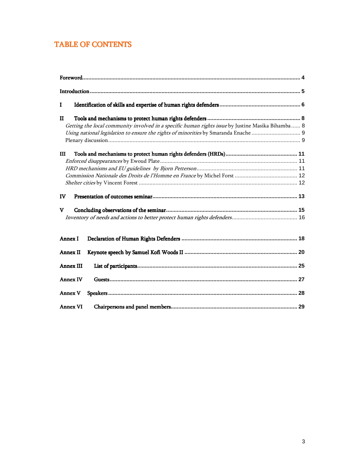# TABLE OF CONTENTS

| Г                |                                                                                                    |  |
|------------------|----------------------------------------------------------------------------------------------------|--|
| п                |                                                                                                    |  |
|                  | Getting the local community involved in a specific human rights issue by Justine Masika Bihamba  8 |  |
|                  |                                                                                                    |  |
|                  |                                                                                                    |  |
| Ш                |                                                                                                    |  |
|                  |                                                                                                    |  |
|                  |                                                                                                    |  |
|                  |                                                                                                    |  |
|                  |                                                                                                    |  |
| IV               |                                                                                                    |  |
| V                |                                                                                                    |  |
|                  |                                                                                                    |  |
| Annex I          |                                                                                                    |  |
| <b>Annex II</b>  |                                                                                                    |  |
| <b>Annex III</b> |                                                                                                    |  |
| <b>Annex IV</b>  |                                                                                                    |  |
| <b>Annex V</b>   |                                                                                                    |  |
| <b>Annex VI</b>  |                                                                                                    |  |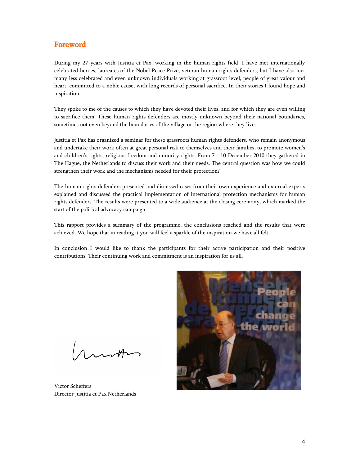## Foreword

During my 27 years with Justitia et Pax, working in the human rights field, I have met internationally celebrated heroes, laureates of the Nobel Peace Prize, veteran human rights defenders, but I have also met many less celebrated and even unknown individuals working at grassroot level, people of great valour and heart, committed to a noble cause, with long records of personal sacrifice. In their stories I found hope and inspiration.

They spoke to me of the causes to which they have devoted their lives, and for which they are even willing to sacrifice them. These human rights defenders are mostly unknown beyond their national boundaries, sometimes not even beyond the boundaries of the village or the region where they live.

Justitia et Pax has organized a seminar for these grassroots human rights defenders, who remain anonymous and undertake their work often at great personal risk to themselves and their families, to promote women's and children's rights, religious freedom and minority rights. From 7 - 10 December 2010 they gathered in The Hague, the Netherlands to discuss their work and their needs. The central question was how we could strengthen their work and the mechanisms needed for their protection?

The human rights defenders presented and discussed cases from their own experience and external experts explained and discussed the practical implementation of international protection mechanisms for human rights defenders. The results were presented to a wide audience at the closing ceremony, which marked the start of the political advocacy campaign.

This rapport provides a summary of the programme, the conclusions reached and the results that were achieved. We hope that in reading it you will feel a sparkle of the inspiration we have all felt.

In conclusion I would like to thank the participants for their active participation and their positive contributions. Their continuing work and commitment is an inspiration for us all.

ranth

Victor Scheffers Director Justitia et Pax Netherlands

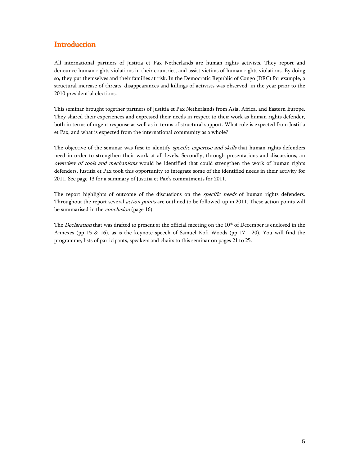## **Introduction**

All international partners of Justitia et Pax Netherlands are human rights activists. They report and denounce human rights violations in their countries, and assist victims of human rights violations. By doing so, they put themselves and their families at risk. In the Democratic Republic of Congo (DRC) for example, a structural increase of threats, disappearances and killings of activists was observed, in the year prior to the 2010 presidential elections.

This seminar brought together partners of Justitia et Pax Netherlands from Asia, Africa, and Eastern Europe. They shared their experiences and expressed their needs in respect to their work as human rights defender, both in terms of urgent response as well as in terms of structural support. What role is expected from Justitia et Pax, and what is expected from the international community as a whole?

The objective of the seminar was first to identify specific expertise and skills that human rights defenders need in order to strengthen their work at all levels. Secondly, through presentations and discussions, an overview of tools and mechanisms would be identified that could strengthen the work of human rights defenders. Justitia et Pax took this opportunity to integrate some of the identified needs in their activity for 2011. See page 13 for a summary of Justitia et Pax's commitments for 2011.

The report highlights of outcome of the discussions on the *specific needs* of human rights defenders. Throughout the report several *action points* are outlined to be followed-up in 2011. These action points will be summarised in the *conclusion* (page 16).

The *Declaration* that was drafted to present at the official meeting on the 10<sup>th</sup> of December is enclosed in the Annexes (pp 15 & 16), as is the keynote speech of Samuel Kofi Woods (pp 17 - 20). You will find the programme, lists of participants, speakers and chairs to this seminar on pages 21 to 25.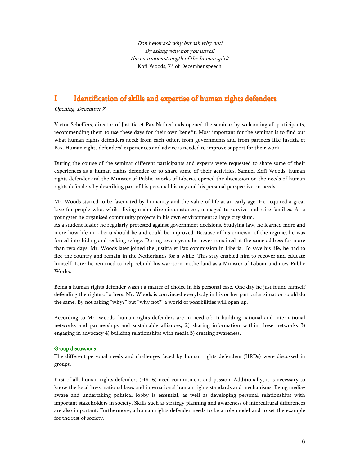Don't ever ask why but ask why not! By asking why not you unveil the enormous strength of the human spirit Kofi Woods, 7th of December speech

### I Identification of skills and expertise of human rights defenders

Opening, December 7

Victor Scheffers, director of Justitia et Pax Netherlands opened the seminar by welcoming all participants, recommending them to use these days for their own benefit. Most important for the seminar is to find out what human rights defenders need: from each other, from governments and from partners like Justitia et Pax. Human rights defenders' experiences and advice is needed to improve support for their work.

During the course of the seminar different participants and experts were requested to share some of their experiences as a human rights defender or to share some of their activities. Samuel Kofi Woods, human rights defender and the Minister of Public Works of Liberia, opened the discussion on the needs of human rights defenders by describing part of his personal history and his personal perspective on needs.

Mr. Woods started to be fascinated by humanity and the value of life at an early age. He acquired a great love for people who, whilst living under dire circumstances, managed to survive and raise families. As a youngster he organised community projects in his own environment: a large city slum.

As a student leader he regularly protested against government decisions. Studying law, he learned more and more how life in Liberia should be and could be improved. Because of his criticism of the regime, he was forced into hiding and seeking refuge. During seven years he never remained at the same address for more than two days. Mr. Woods later joined the Justitia et Pax commission in Liberia. To save his life, he had to flee the country and remain in the Netherlands for a while. This stay enabled him to recover and educate himself. Later he returned to help rebuild his war-torn motherland as a Minister of Labour and now Public Works.

Being a human rights defender wasn't a matter of choice in his personal case. One day he just found himself defending the rights of others. Mr. Woods is convinced everybody in his or her particular situation could do the same. By not asking "why?" but "why not?" a world of possibilities will open up.

According to Mr. Woods, human rights defenders are in need of: 1) building national and international networks and partnerships and sustainable alliances, 2) sharing information within these networks 3) engaging in advocacy 4) building relationships with media 5) creating awareness.

### Group discussions Group discussions

The different personal needs and challenges faced by human rights defenders (HRDs) were discussed in groups.

First of all, human rights defenders (HRDs) need commitment and passion. Additionally, it is necessary to know the local laws, national laws and international human rights standards and mechanisms. Being mediaaware and undertaking political lobby is essential, as well as developing personal relationships with important stakeholders in society. Skills such as strategy planning and awareness of intercultural differences are also important. Furthermore, a human rights defender needs to be a role model and to set the example for the rest of society.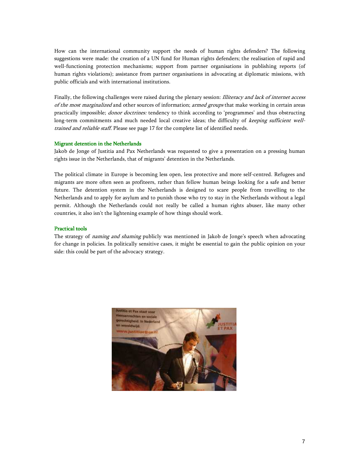How can the international community support the needs of human rights defenders? The following suggestions were made: the creation of a UN fund for Human rights defenders; the realisation of rapid and well-functioning protection mechanisms; support from partner organisations in publishing reports (of human rights violations); assistance from partner organisations in advocating at diplomatic missions, with public officials and with international institutions.

Finally, the following challenges were raised during the plenary session: Illiteracy and lack of internet access of the most marginalized and other sources of information; armed groups that make working in certain areas practically impossible; donor doctrines: tendency to think according to 'programmes' and thus obstructing long-term commitments and much needed local creative ideas; the difficulty of keeping sufficient welltrained and reliable staff. Please see page 17 for the complete list of identified needs.

### Migrant detention in the Netherlands

Jakob de Jonge of Justitia and Pax Netherlands was requested to give a presentation on a pressing human rights issue in the Netherlands, that of migrants' detention in the Netherlands.

The political climate in Europe is becoming less open, less protective and more self-centred. Refugees and migrants are more often seen as profiteers, rather than fellow human beings looking for a safe and better future. The detention system in the Netherlands is designed to scare people from travelling to the Netherlands and to apply for asylum and to punish those who try to stay in the Netherlands without a legal permit. Although the Netherlands could not really be called a human rights abuser, like many other countries, it also isn't the lightening example of how things should work.

### Practical tools

The strategy of *naming and shaming* publicly was mentioned in Jakob de Jonge's speech when advocating for change in policies. In politically sensitive cases, it might be essential to gain the public opinion on your side: this could be part of the advocacy strategy.

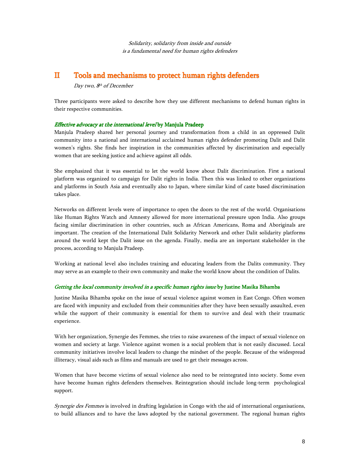Solidarity, solidarity from inside and outside is a fundamental need for human rights defenders

### II Tools and mechanisms to protect human rights defenders

Day two, 8<sup>th</sup> of December

Three participants were asked to describe how they use different mechanisms to defend human rights in their respective communities.

### Effective advocacy at the international level by Manjula Pradeep

Manjula Pradeep shared her personal journey and transformation from a child in an oppressed Dalit community into a national and international acclaimed human rights defender promoting Dalit and Dalit women's rights. She finds her inspiration in the communities affected by discrimination and especially women that are seeking justice and achieve against all odds.

She emphasized that it was essential to let the world know about Dalit discrimination. First a national platform was organized to campaign for Dalit rights in India. Then this was linked to other organizations and platforms in South Asia and eventually also to Japan, where similar kind of caste based discrimination takes place.

Networks on different levels were of importance to open the doors to the rest of the world. Organisations like Human Rights Watch and Amnesty allowed for more international pressure upon India. Also groups facing similar discrimination in other countries, such as African Americans, Roma and Aboriginals are important. The creation of the International Dalit Solidarity Network and other Dalit solidarity platforms around the world kept the Dalit issue on the agenda. Finally, media are an important stakeholder in the process, according to Manjula Pradeep.

Working at national level also includes training and educating leaders from the Dalits community. They may serve as an example to their own community and make the world know about the condition of Dalits.

### Getting the local community involved in a specific human rights issue by Justine Masika Bihamba

Justine Masika Bihamba spoke on the issue of sexual violence against women in East Congo. Often women are faced with impunity and excluded from their communities after they have been sexually assaulted, even while the support of their community is essential for them to survive and deal with their traumatic experience.

With her organization, Synergie des Femmes, she tries to raise awareness of the impact of sexual violence on women and society at large. Violence against women is a social problem that is not easily discussed. Local community initiatives involve local leaders to change the mindset of the people. Because of the widespread illiteracy, visual aids such as films and manuals are used to get their messages across.

Women that have become victims of sexual violence also need to be reintegrated into society. Some even have become human rights defenders themselves. Reintegration should include long-term psychological support.

Synergie des Femmes is involved in drafting legislation in Congo with the aid of international organisations, to build alliances and to have the laws adopted by the national government. The regional human rights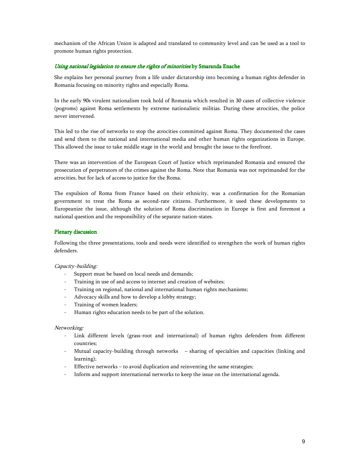mechanism of the African Union is adapted and translated to community level and can be used as a tool to promote human rights protection.

### Using national legislation to ensure the rights of minorities by Smaranda Enache

She explains her personal journey from a life under dictatorship into becoming a human rights defender in Romania focusing on minority rights and especially Roma.

In the early 90s virulent nationalism took hold of Romania which resulted in 30 cases of collective violence (pogroms) against Roma settlements by extreme nationalistic militias. During these atrocities, the police never intervened.

This led to the rise of networks to stop the atrocities committed against Roma. They documented the cases and send them to the national and international media and other human rights organizations in Europe. This allowed the issue to take middle stage in the world and brought the issue to the forefront.

There was an intervention of the European Court of Justice which reprimanded Romania and ensured the prosecution of perpetrators of the crimes against the Roma. Note that Romania was not reprimanded for the atrocities, but for lack of access to justice for the Roma.

The expulsion of Roma from France based on their ethnicity, was a confirmation for the Romanian government to treat the Roma as second-rate citizens. Furthermore, it used these developments to Europeanize the issue, although the solution of Roma discrimination in Europe is first and foremost a national question and the responsibility of the separate nation-states.

### Plenary discussion

Following the three presentations, tools and needs were identified to strengthen the work of human rights defenders.

### Capacity-building:

- Support must be based on local needs and demands;
- Training in use of and access to internet and creation of websites;
- Training on regional, national and international human rights mechanisms;
- Advocacy skills and how to develop a lobby strategy;
- Training of women leaders;
- Human rights education needs to be part of the solution.

### Networking:

- Link different levels (grass-root and international) of human rights defenders from different countries;
- Mutual capacity-building through networks sharing of specialties and capacities (linking and learning);
- Effective networks to avoid duplication and reinventing the same strategies;
- Inform and support international networks to keep the issue on the international agenda.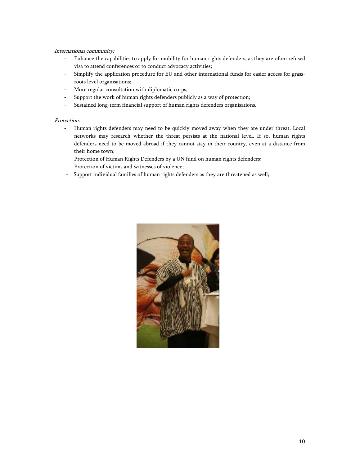### International community:

- Enhance the capabilities to apply for mobility for human rights defenders, as they are often refused visa to attend conferences or to conduct advocacy activities;
- Simplify the application procedure for EU and other international funds for easier access for grassroots level organisations;
- More regular consultation with diplomatic corps;
- Support the work of human rights defenders publicly as a way of protection;
- Sustained long-term financial support of human rights defenders organisations.

### Protection:

- Human rights defenders may need to be quickly moved away when they are under threat. Local networks may research whether the threat persists at the national level. If so, human rights defenders need to be moved abroad if they cannot stay in their country, even at a distance from their home town;
- Protection of Human Rights Defenders by a UN fund on human rights defenders;
- Protection of victims and witnesses of violence;
- Support individual families of human rights defenders as they are threatened as well;

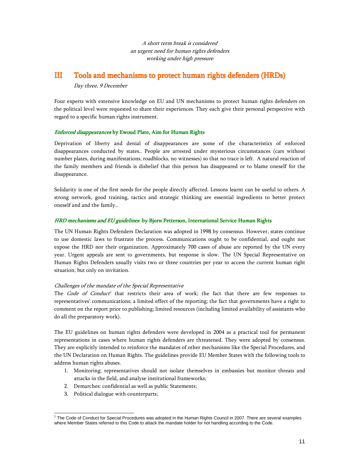A short term break is considered an urgent need for human rights defenders working under high pressure

### III Tools and mechanisms to protect human rights defenders (HRDs)

### Day three, 9 December

Four experts with extensive knowledge on EU and UN mechanisms to protect human rights defenders on the political level were requested to share their experiences. They each give their personal perspective with regard to a specific human rights instrument.

### Enforced disappearances by Ewoud Plate, Aim for Human Rights

Deprivation of liberty and denial of disappearances are some of the characteristics of enforced disappearances conducted by states.. People are arrested under mysterious circumstances (cars without number plates, during manifestations, roadblocks, no witnesses) so that no trace is left. A natural reaction of the family members and friends is disbelief that this person has disappeared or to blame oneself for the disappearance.

Solidarity is one of the first needs for the people directly affected. Lessons learnt can be useful to others. A strong network, good training, tactics and strategic thinking are essential ingredients to better protect oneself and and the family..

### HRD mechanisms and EU guidelines by Bjorn Petterson, International Service Human Rights

The UN Human Rights Defenders Declaration was adopted in 1998 by consensus. However, states continue to use domestic laws to frustrate the process. Communications ought to be confidential, and ought not expose the HRD nor their organization. Approximately 700 cases of abuse are reported by the UN every year. Urgent appeals are sent to governments, but response is slow. The UN Special Representative on Human Rights Defenders usually visits two or three countries per year to access the current human right situation, but only on invitation.

### Challenges of the mandate of the Special Representative

The *Code of Conduct<sup>1</sup>* that restricts their area of work; the fact that there are few responses to representatives' communications; a limited effect of the reporting; the fact that governments have a right to comment on the report prior to publishing; limited resources (including limited availability of assistants who do all the preparatory work).

The EU guidelines on human rights defenders were developed in 2004 as a practical tool for permanent representations in cases where human rights defenders are threatened. They were adopted by consensus. They are explicitly intended to reinforce the mandates of other mechanisms like the Special Procedures, and the UN Declaration on Human Rights. The guidelines provide EU Member States with the following tools to address human rights abuses.

- 1. Monitoring; representatives should not isolate themselves in embassies but monitor threats and attacks in the field, and analyse institutional frameworks;
- 2. Demarches: confidential as well as public Statements;
- 3. Political dialogue with counterparts;

 1 The Code of Conduct for Special Procedures was adopted in the Human Rights Council in 2007. There are several examples where Member States referred to this Code to attack the mandate holder for not handling according to the Code.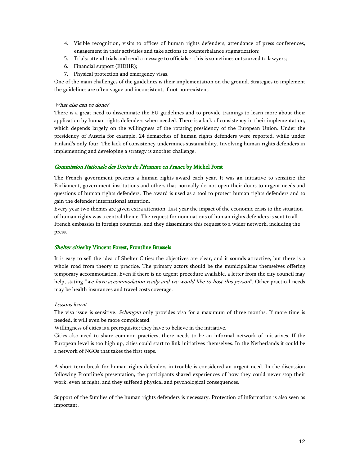- 4. Visible recognition, visits to offices of human rights defenders, attendance of press conferences, engagement in their activities and take actions to counterbalance stigmatization;
- 5. Trials: attend trials and send a message to officials this is sometimes outsourced to lawyers;
- 6. Financial support (EIDHR);
- 7. Physical protection and emergency visas.

One of the main challenges of the guidelines is their implementation on the ground. Strategies to implement the guidelines are often vague and inconsistent, if not non-existent.

### What else can be done?

There is a great need to disseminate the EU guidelines and to provide trainings to learn more about their application by human rights defenders when needed. There is a lack of consistency in their implementation, which depends largely on the willingness of the rotating presidency of the European Union. Under the presidency of Austria for example, 24 demarches of human rights defenders were reported, while under Finland's only four. The lack of consistency undermines sustainability. Involving human rights defenders in implementing and developing a strategy is another challenge.

### Commission Nationale des Droits de l'Homme en France by Michel Forst

The French government presents a human rights award each year. It was an initiative to sensitize the Parliament, government institutions and others that normally do not open their doors to urgent needs and questions of human rights defenders. The award is used as a tool to protect human rights defenders and to gain the defender international attention.

Every year two themes are given extra attention. Last year the impact of the economic crisis to the situation of human rights was a central theme. The request for nominations of human rights defenders is sent to all French embassies in foreign countries, and they disseminate this request to a wider network, including the press.

### Shelter cities by Vincent Forest, Frontline Brussels

It is easy to sell the idea of Shelter Cities: the objectives are clear, and it sounds attractive, but there is a whole road from theory to practice. The primary actors should be the municipalities themselves offering temporary accommodation. Even if there is no urgent procedure available, a letter from the city council may help, stating "we have accommodation ready and we would like to host this person". Other practical needs may be health insurances and travel costs coverage.

#### Lessons learnt

The visa issue is sensitive. Schengen only provides visa for a maximum of three months. If more time is needed, it will even be more complicated.

Willingness of cities is a prerequisite; they have to believe in the initiative.

Cities also need to share common practices, there needs to be an informal network of initiatives. If the European level is too high up, cities could start to link initiatives themselves. In the Netherlands it could be a network of NGOs that takes the first steps.

A short-term break for human rights defenders in trouble is considered an urgent need. In the discussion following Frontline's presentation, the participants shared experiences of how they could never stop their work, even at night, and they suffered physical and psychological consequences.

Support of the families of the human rights defenders is necessary. Protection of information is also seen as important.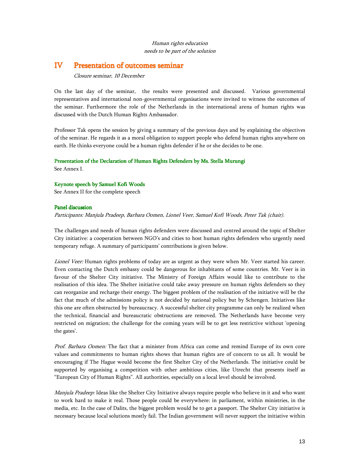### Human rights education needs to be part of the solution

### IV Presentation of outcomes seminar

Closure seminar, 10 December

On the last day of the seminar, the results were presented and discussed. Various governmental representatives and international non-governmental organisations were invited to witness the outcomes of the seminar. Furthermore the role of the Netherlands in the international arena of human rights was discussed with the Dutch Human Rights Ambassador.

Professor Tak opens the session by giving a summary of the previous days and by explaining the objectives of the seminar. He regards it as a moral obligation to support people who defend human rights anywhere on earth. He thinks everyone could be a human rights defender if he or she decides to be one.

### Presentation of the Declaration of Human Rights Defenders by Ms. Stella Murungi

See Annex I.

### Keynote speech by Samuel Kofi Woods

See Annex II for the complete speech

### Panel discussion

Participants: Manjula Pradeep, Barbara Oomen, Lionel Veer, Samuel Kofi Woods, Peter Tak (chair).

The challenges and needs of human rights defenders were discussed and centred around the topic of Shelter City initiative: a cooperation between NGO's and cities to host human rights defenders who urgently need temporary refuge. A summary of participants' contributions is given below.

Lionel Veer: Human rights problems of today are as urgent as they were when Mr. Veer started his career. Even contacting the Dutch embassy could be dangerous for inhabitants of some countries. Mr. Veer is in favour of the Shelter City initiative. The Ministry of Foreign Affairs would like to contribute to the realisation of this idea. The Shelter initiative could take away pressure on human rights defenders so they can reorganize and recharge their energy. The biggest problem of the realisation of the initiative will be the fact that much of the admissions policy is not decided by national policy but by Schengen. Initiatives like this one are often obstructed by bureaucracy. A successful shelter city programme can only be realized when the technical, financial and bureaucratic obstructions are removed. The Netherlands have become very restricted on migration; the challenge for the coming years will be to get less restrictive without 'opening the gates'.

Prof. Barbara Oomen: The fact that a minister from Africa can come and remind Europe of its own core values and commitments to human rights shows that human rights are of concern to us all. It would be encouraging if The Hague would become the first Shelter City of the Netherlands. The initiative could be supported by organising a competition with other ambitious cities, like Utrecht that presents itself as "European City of Human Rights". All authorities, especially on a local level should be involved.

Manjula Pradeep: Ideas like the Shelter City Initiative always require people who believe in it and who want to work hard to make it real. Those people could be everywhere: in parliament, within ministries, in the media, etc. In the case of Dalits, the biggest problem would be to get a passport. The Shelter City initiative is necessary because local solutions mostly fail. The Indian government will never support the initiative within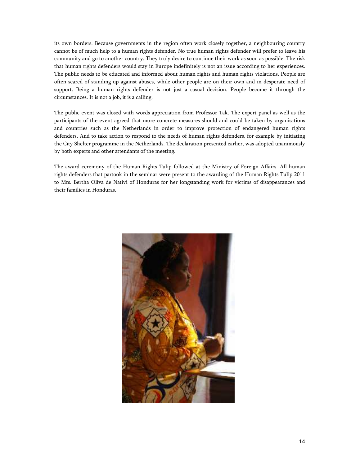its own borders. Because governments in the region often work closely together, a neighbouring country cannot be of much help to a human rights defender. No true human rights defender will prefer to leave his community and go to another country. They truly desire to continue their work as soon as possible. The risk that human rights defenders would stay in Europe indefinitely is not an issue according to her experiences. The public needs to be educated and informed about human rights and human rights violations. People are often scared of standing up against abuses, while other people are on their own and in desperate need of support. Being a human rights defender is not just a casual decision. People become it through the circumstances. It is not a job, it is a calling.

The public event was closed with words appreciation from Professor Tak. The expert panel as well as the participants of the event agreed that more concrete measures should and could be taken by organisations and countries such as the Netherlands in order to improve protection of endangered human rights defenders. And to take action to respond to the needs of human rights defenders, for example by initiating the City Shelter programme in the Netherlands. The declaration presented earlier, was adopted unanimously by both experts and other attendants of the meeting.

The award ceremony of the Human Rights Tulip followed at the Ministry of Foreign Affairs. All human rights defenders that partook in the seminar were present to the awarding of the Human Rights Tulip 2011 to Mrs. Bertha Oliva de Nativi of Honduras for her longstanding work for victims of disappearances and their families in Honduras.

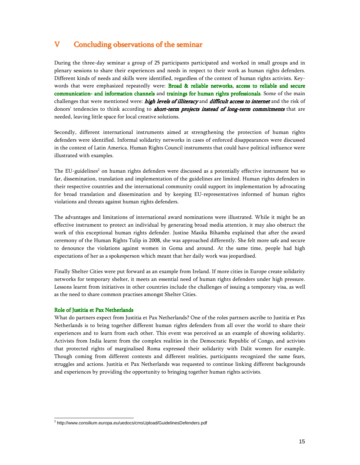### V Concluding observations of the seminar

During the three-day seminar a group of 25 participants participated and worked in small groups and in plenary sessions to share their experiences and needs in respect to their work as human rights defenders. Different kinds of needs and skills were identified, regardless of the context of human rights activists. Keywords that were emphasized repeatedly were: **Broad & reliable networks, access to reliable and secure** communication- and information channels and trainings for human rights professionals. Some of the main challenges that were mentioned were: high levels of illiteracy and difficult access to internet and the risk of donors' tendencies to think according to *short-term projects instead of long-term commitments* that are needed, leaving little space for local creative solutions.

Secondly, different international instruments aimed at strengthening the protection of human rights defenders were identified. Informal solidarity networks in cases of enforced disappearances were discussed in the context of Latin America. Human Rights Council instruments that could have political influence were illustrated with examples.

The EU-guidelines<sup>2</sup> on human rights defenders were discussed as a potentially effective instrument but so far, dissemination, translation and implementation of the guidelines are limited. Human rights defenders in their respective countries and the international community could support its implementation by advocating for broad translation and dissemination and by keeping EU-representatives informed of human rights violations and threats against human rights defenders.

The advantages and limitations of international award nominations were illustrated. While it might be an effective instrument to protect an individual by generating broad media attention, it may also obstruct the work of this exceptional human rights defender. Justine Masika Bihamba explained that after the award ceremony of the Human Rights Tulip in 2008, she was approached differently. She felt more safe and secure to denounce the violations against women in Goma and around. At the same time, people had high expectations of her as a spokesperson which meant that her daily work was jeopardised.

Finally Shelter Cities were put forward as an example from Ireland. If more cities in Europe create solidarity networks for temporary shelter, it meets an essential need of human rights defenders under high pressure. Lessons learnt from initiatives in other countries include the challenges of issuing a temporary visa, as well as the need to share common practises amongst Shelter Cities.

### Role of Justitia et Pax Netherlands

What do partners expect from Justitia et Pax Netherlands? One of the roles partners ascribe to Justitia et Pax Netherlands is to bring together different human rights defenders from all over the world to share their experiences and to learn from each other. This event was perceived as an example of showing solidarity. Activists from India learnt from the complex realities in the Democratic Republic of Congo, and activists that protected rights of marginalised Roma expressed their solidarity with Dalit women for example. Though coming from different contexts and different realities, participants recognized the same fears, struggles and actions. Justitia et Pax Netherlands was requested to continue linking different backgrounds and experiences by providing the opportunity to bringing together human rights activists.

 2 http://www.consilium.europa.eu/uedocs/cmsUpload/GuidelinesDefenders.pdf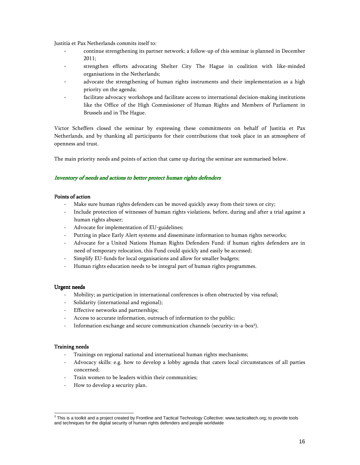Justitia et Pax Netherlands commits itself to:

- continue strengthening its partner network; a follow-up of this seminar is planned in December 2011;
- strengthen efforts advocating Shelter City The Hague in coalition with like-minded organisations in the Netherlands;
- advocate the strengthening of human rights instruments and their implementation as a high priority on the agenda;
- facilitate advocacy workshops and facilitate access to international decision-making institutions like the Office of the High Commissioner of Human Rights and Members of Parliament in Brussels and in The Hague.

Victor Scheffers closed the seminar by expressing these commitments on behalf of Justitia et Pax Netherlands, and by thanking all participants for their contributions that took place in an atmosphere of openness and trust.

The main priority needs and points of action that came up during the seminar are summarised below.

### Inventory of needs and actions to better protect human rights defenders

### Points of action

- Make sure human rights defenders can be moved quickly away from their town or city;
- Include protection of witnesses of human rights violations, before, during and after a trial against a human rights abuser;
- Advocate for implementation of EU-guidelines;
- Putting in place Early Alert systems and disseminate information to human rights networks;
- Advocate for a United Nations Human Rights Defenders Fund: if human rights defenders are in need of temporary relocation, this Fund could quickly and easily be accessed;
- Simplify EU-funds for local organisations and allow for smaller budgets;
- Human rights education needs to be integral part of human rights programmes.

### Urgent needs Urgent needs

- Mobility; as participation in international conferences is often obstructed by visa refusal;
- Solidarity (international and regional);
- Effective networks and partnerships;
- Access to accurate information, outreach of information to the public;
- Information exchange and secure communication channels (security-in-a-box<sup>3</sup>).

### Training needs Training needs

- Trainings on regional national and international human rights mechanisms;
- Advocacy skills: e.g. how to develop a lobby agenda that caters local circumstances of all parties concerned;
- Train women to be leaders within their communities;
- How to develop a security plan.

 $^3$  This is a toolkit and a project created by Frontline and Tactical Technology Collective: www.tacticaltech.org; to provide tools and techniques for the digital security of human rights defenders and people worldwide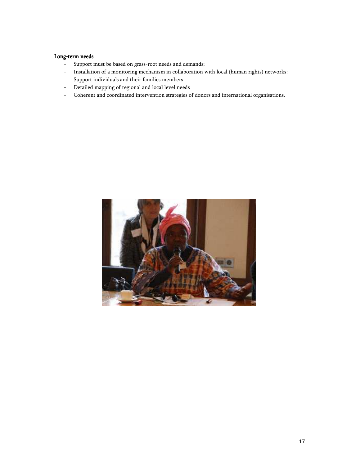### Long-term needs

- Support must be based on grass-root needs and demands;
- Installation of a monitoring mechanism in collaboration with local (human rights) networks:
- Support individuals and their families members
- Detailed mapping of regional and local level needs
- Coherent and coordinated intervention strategies of donors and international organisations.

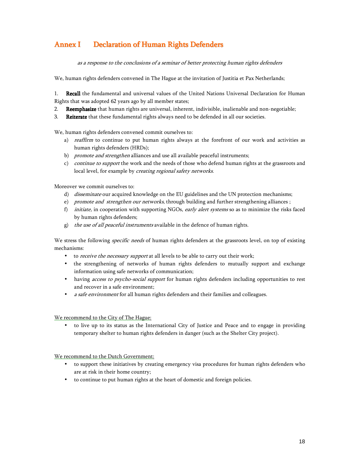# Annex I Declaration of Human Rights Defenders

as a response to the conclusions of a seminar of better protecting human rights defenders

We, human rights defenders convened in The Hague at the invitation of Justitia et Pax Netherlands;

1. Recall the fundamental and universal values of the United Nations Universal Declaration for Human Rights that was adopted 62 years ago by all member states;

- 2. Reemphasize that human rights are universal, inherent, indivisible, inalienable and non-negotiable;
- 3. Reiterate that these fundamental rights always need to be defended in all our societies.

We, human rights defenders convened commit ourselves to:

- a) *reaffirm* to continue to put human rights always at the forefront of our work and activities as human rights defenders (HRDs);
- b) promote and strengthen alliances and use all available peaceful instruments;
- c) *continue to support* the work and the needs of those who defend human rights at the grassroots and local level, for example by *creating regional safety networks*.

Moreover we commit ourselves to:

- d) *disseminate* our acquired knowledge on the EU guidelines and the UN protection mechanisms;
- e) *promote and strengthen our networks*, through building and further strengthening alliances;
- f) initiate, in cooperation with supporting NGOs, early alert systems so as to minimize the risks faced by human rights defenders;
- g) the use of all peaceful instruments available in the defence of human rights.

We stress the following *specific needs* of human rights defenders at the grassroots level, on top of existing mechanisms:

- to *receive the necessary support* at all levels to be able to carry out their work;
- the strengthening of networks of human rights defenders to mutually support and exchange information using safe networks of communication;
- having *access to psycho-social support* for human rights defenders including opportunities to rest and recover in a safe environment;
- *a safe environment* for all human rights defenders and their families and colleagues.

We recommend to the City of The Hague:

• to live up to its status as the International City of Justice and Peace and to engage in providing temporary shelter to human rights defenders in danger (such as the Shelter City project).

We recommend to the Dutch Government:

- to support these initiatives by creating emergency visa procedures for human rights defenders who are at risk in their home country;
- to continue to put human rights at the heart of domestic and foreign policies.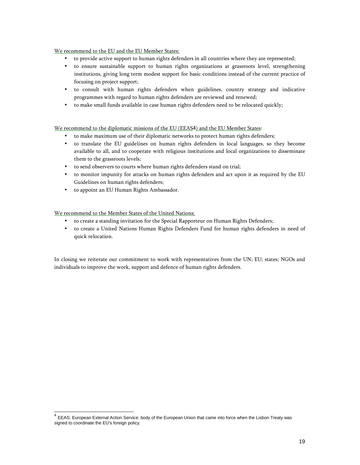### We recommend to the EU and the EU Member States:

- to provide active support to human rights defenders in all countries where they are represented;
- to ensure sustainable support to human rights organizations at grassroots level, strengthening institutions, giving long term modest support for basic conditions instead of the current practice of focusing on project support;
- to consult with human rights defenders when guidelines, country strategy and indicative programmes with regard to human rights defenders are reviewed and renewed;
- to make small funds available in case human rights defenders need to be relocated quickly;

### We recommend to the diplomatic missions of the EU (EEAS4) and the EU Member States:

- to make maximum use of their diplomatic networks to protect human rights defenders;
- to translate the EU guidelines on human rights defenders in local languages, so they become available to all, and to cooperate with religious institutions and local organizations to disseminate them to the grassroots levels;
- to send observers to courts where human rights defenders stand on trial;
- to monitor impunity for attacks on human rights defenders and act upon it as required by the EU Guidelines on human rights defenders;
- to appoint an EU Human Rights Ambassador.

We recommend to the Member States of the United Nations:

- to create a standing invitation for the Special Rapporteur on Human Rights Defenders;
- to create a United Nations Human Rights Defenders Fund for human rights defenders in need of quick relocation.

In closing we reiterate our commitment to work with representatives from the UN; EU; states; NGOs and individuals to improve the work, support and defence of human rights defenders.

 4 EEAS: European External Action Service: body of the European Union that came into force when the Lisbon Treaty was signed to coordinate the EU's foreign policy.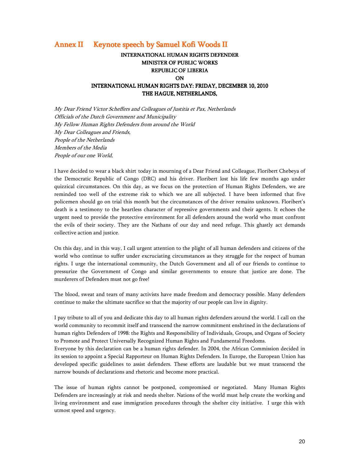### Annex II Keynote speech by Samuel Kofi Woods II

### INTERNATIONAL HUMAN RIGHTS DEFENDER MINISTER OF PUBLIC WORKS REPUBLIC OF LIBERIA **ON** INTERNATIONAL HUMAN RIGHTS DAY: FRIDAY, DECEMBER 10, 2010 THE HAGUE, NETHERLANDS,

My Dear Friend Victor Scheffers and Colleagues of Justitia et Pax, Netherlands Officials of the Dutch Government and Municipality My Fellow Human Rights Defenders from around the World My Dear Colleagues and Friends, People of the Netherlands Members of the Media People of our one World,

I have decided to wear a black shirt today in mourning of a Dear Friend and Colleague, Floribert Chebeya of the Democratic Republic of Congo (DRC) and his driver. Floribert lost his life few months ago under quizzical circumstances. On this day, as we focus on the protection of Human Rights Defenders, we are reminded too well of the extreme risk to which we are all subjected. I have been informed that five policemen should go on trial this month but the circumstances of the driver remains unknown. Floribert's death is a testimony to the heartless character of repressive governments and their agents. It echoes the urgent need to provide the protective environment for all defenders around the world who must confront the evils of their society. They are the Nathans of our day and need refuge. This ghastly act demands collective action and justice.

On this day, and in this way, I call urgent attention to the plight of all human defenders and citizens of the world who continue to suffer under excruciating circumstances as they struggle for the respect of human rights. I urge the international community, the Dutch Government and all of our friends to continue to pressurize the Government of Congo and similar governments to ensure that justice are done. The murderers of Defenders must not go free!

The blood, sweat and tears of many activists have made freedom and democracy possible. Many defenders continue to make the ultimate sacrifice so that the majority of our people can live in dignity.

I pay tribute to all of you and dedicate this day to all human rights defenders around the world. I call on the world community to recommit itself and transcend the narrow commitment enshrined in the declarations of human rights Defenders of 1998: the Rights and Responsibility of Individuals, Groups, and Organs of Society to Promote and Protect Universally Recognized Human Rights and Fundamental Freedoms.

Everyone by this declaration can be a human rights defender. In 2004, the African Commission decided in its session to appoint a Special Rapporteur on Human Rights Defenders. In Europe, the European Union has developed specific guidelines to assist defenders. These efforts are laudable but we must transcend the narrow bounds of declarations and rhetoric and become more practical.

The issue of human rights cannot be postponed, compromised or negotiated. Many Human Rights Defenders are increasingly at risk and needs shelter. Nations of the world must help create the working and living environment and ease immigration procedures through the shelter city initiative. I urge this with utmost speed and urgency.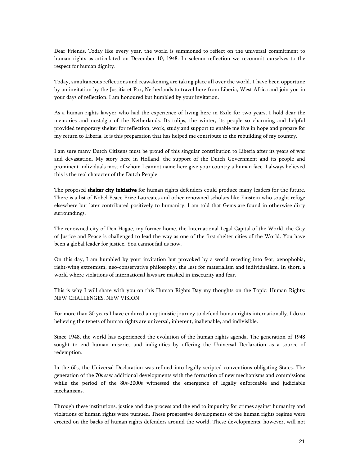Dear Friends, Today like every year, the world is summoned to reflect on the universal commitment to human rights as articulated on December 10, 1948. In solemn reflection we recommit ourselves to the respect for human dignity.

Today, simultaneous reflections and reawakening are taking place all over the world. I have been opportune by an invitation by the Justitia et Pax, Netherlands to travel here from Liberia, West Africa and join you in your days of reflection. I am honoured but humbled by your invitation.

As a human rights lawyer who had the experience of living here in Exile for two years, I hold dear the memories and nostalgia of the Netherlands. Its tulips, the winter, its people so charming and helpful provided temporary shelter for reflection, work, study and support to enable me live in hope and prepare for my return to Liberia. It is this preparation that has helped me contribute to the rebuilding of my country.

I am sure many Dutch Citizens must be proud of this singular contribution to Liberia after its years of war and devastation. My story here in Holland, the support of the Dutch Government and its people and prominent individuals most of whom I cannot name here give your country a human face. I always believed this is the real character of the Dutch People.

The proposed shelter city initiative for human rights defenders could produce many leaders for the future. There is a list of Nobel Peace Prize Laureates and other renowned scholars like Einstein who sought refuge elsewhere but later contributed positively to humanity. I am told that Gems are found in otherwise dirty surroundings.

The renowned city of Den Hague, my former home, the International Legal Capital of the World, the City of Justice and Peace is challenged to lead the way as one of the first shelter cities of the World. You have been a global leader for justice. You cannot fail us now.

On this day, I am humbled by your invitation but provoked by a world receding into fear, xenophobia, right-wing extremism, neo-conservative philosophy, the lust for materialism and individualism. In short, a world where violations of international laws are masked in insecurity and fear.

This is why I will share with you on this Human Rights Day my thoughts on the Topic: Human Rights: NEW CHALLENGES, NEW VISION

For more than 30 years I have endured an optimistic journey to defend human rights internationally. I do so believing the tenets of human rights are universal, inherent, inalienable, and indivisible.

Since 1948, the world has experienced the evolution of the human rights agenda. The generation of 1948 sought to end human miseries and indignities by offering the Universal Declaration as a source of redemption.

In the 60s, the Universal Declaration was refined into legally scripted conventions obligating States. The generation of the 70s saw additional developments with the formation of new mechanisms and commissions while the period of the 80s-2000s witnessed the emergence of legally enforceable and judiciable mechanisms.

Through these institutions, justice and due process and the end to impunity for crimes against humanity and violations of human rights were pursued. These progressive developments of the human rights regime were erected on the backs of human rights defenders around the world. These developments, however, will not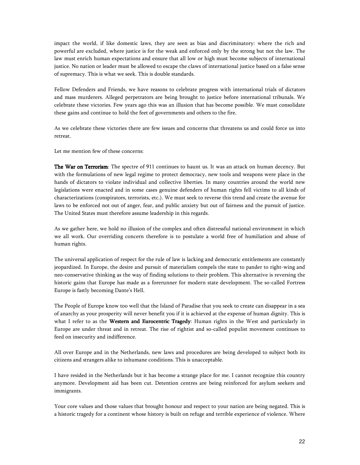impact the world, if like domestic laws, they are seen as bias and discriminatory: where the rich and powerful are excluded, where justice is for the weak and enforced only by the strong but not the law. The law must enrich human expectations and ensure that all low or high must become subjects of international justice. No nation or leader must be allowed to escape the claws of international justice based on a false sense of supremacy. This is what we seek. This is double standards.

Fellow Defenders and Friends, we have reasons to celebrate progress with international trials of dictators and mass murderers. Alleged perpetrators are being brought to justice before international tribunals. We celebrate these victories. Few years ago this was an illusion that has become possible. We must consolidate these gains and continue to hold the feet of governments and others to the fire.

As we celebrate these victories there are few issues and concerns that threatens us and could force us into retreat.

Let me mention few of these concerns:

The War on Terrorism: The spectre of 911 continues to haunt us. It was an attack on human decency. But with the formulations of new legal regime to protect democracy, new tools and weapons were place in the hands of dictators to violate individual and collective liberties. In many countries around the world new legislations were enacted and in some cases genuine defenders of human rights fell victims to all kinds of characterizations (conspirators, terrorists, etc.). We must seek to reverse this trend and create the avenue for laws to be enforced not out of anger, fear, and public anxiety but out of fairness and the pursuit of justice. The United States must therefore assume leadership in this regards.

As we gather here, we hold no illusion of the complex and often distressful national environment in which we all work. Our overriding concern therefore is to postulate a world free of humiliation and abuse of human rights.

The universal application of respect for the rule of law is lacking and democratic entitlements are constantly jeopardized. In Europe, the desire and pursuit of materialism compels the state to pander to right-wing and neo-conservative thinking as the way of finding solutions to their problem. This alternative is reversing the historic gains that Europe has made as a forerunner for modern state development. The so-called Fortress Europe is fastly becoming Dante's Hell.

The People of Europe know too well that the Island of Paradise that you seek to create can disappear in a sea of anarchy as your prosperity will never benefit you if it is achieved at the expense of human dignity. This is what I refer to as the Western and Eurocentric Tragedy: Human rights in the West and particularly in Europe are under threat and in retreat. The rise of rightist and so-called populist movement continues to feed on insecurity and indifference.

All over Europe and in the Netherlands, new laws and procedures are being developed to subject both its citizens and strangers alike to inhumane conditions. This is unacceptable.

I have resided in the Netherlands but it has become a strange place for me. I cannot recognize this country anymore. Development aid has been cut. Detention centres are being reinforced for asylum seekers and immigrants.

Your core values and those values that brought honour and respect to your nation are being negated. This is a historic tragedy for a continent whose history is built on refuge and terrible experience of violence. Where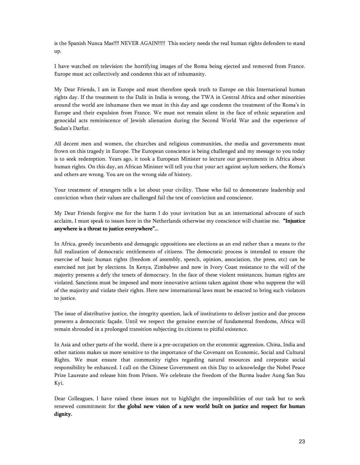is the Spanish Nunca Mas!!!! NEVER AGAIN!!!!! This society needs the real human rights defenders to stand up.

I have watched on television the horrifying images of the Roma being ejected and removed from France. Europe must act collectively and condemn this act of inhumanity.

My Dear Friends, I am in Europe and must therefore speak truth to Europe on this International human rights day. If the treatment to the Dalit in India is wrong, the TWA in Central Africa and other minorities around the world are inhumane then we must in this day and age condemn the treatment of the Roma's in Europe and their expulsion from France. We must not remain silent in the face of ethnic separation and genocidal acts reminiscence of Jewish alienation during the Second World War and the experience of Sudan's Darfur.

All decent men and women, the churches and religious communities, the media and governments must frown on this tragedy in Europe. The European conscience is being challenged and my message to you today is to seek redemption. Years ago, it took a European Minister to lecture our governments in Africa about human rights. On this day, an African Minister will tell you that your act against asylum seekers, the Roma's and others are wrong. You are on the wrong side of history.

Your treatment of strangers tells a lot about your civility. Those who fail to demonstrate leadership and conviction when their values are challenged fail the test of conviction and conscience.

My Dear Friends forgive me for the harm I do your invitation but as an international advocate of such acclaim, I must speak to issues here in the Netherlands otherwise my conscience will chastise me. "Injustice anywhere is a threat to justice everywhere"...

In Africa, greedy incumbents and demagogic oppositions see elections as an end rather than a means to the full realization of democratic entitlements of citizens. The democratic process is intended to ensure the exercise of basic human rights (freedom of assembly, speech, opinion, association, the press, etc) can be exercised not just by elections. In Kenya, Zimbabwe and now in Ivory Coast resistance to the will of the majority presents a defy the tenets of democracy. In the face of these violent resistances, human rights are violated. Sanctions must be imposed and more innovative actions taken against those who suppress the will of the majority and violate their rights. Here new international laws must be enacted to bring such violators to justice.

The issue of distributive justice, the integrity question, lack of institutions to deliver justice and due process presents a democratic façade. Until we respect the genuine exercise of fundamental freedoms, Africa will remain shrouded in a prolonged transition subjecting its citizens to pitiful existence.

In Asia and other parts of the world, there is a pre-occupation on the economic aggression. China, India and other nations makes us more sensitive to the importance of the Covenant on Economic, Social and Cultural Rights. We must ensure that community rights regarding natural resources and corporate social responsibility be enhanced. I call on the Chinese Government on this Day to acknowledge the Nobel Peace Prize Laureate and release him from Prison. We celebrate the freedom of the Burma leader Aung San Suu Kyi.

Dear Colleagues, I have raised these issues not to highlight the impossibilities of our task but to seek renewed commitment for the global new vision of a new world built on justice and respect for human dignity.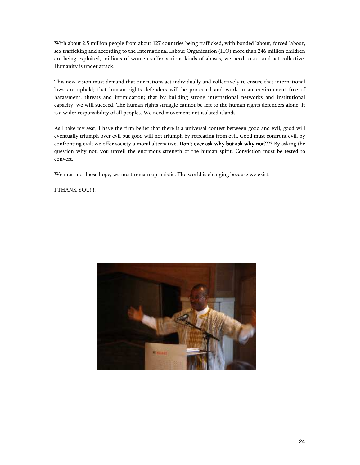With about 2.5 million people from about 127 countries being trafficked, with bonded labour, forced labour, sex trafficking and according to the International Labour Organization (ILO) more than 246 million children are being exploited, millions of women suffer various kinds of abuses, we need to act and act collective. Humanity is under attack.

This new vision must demand that our nations act individually and collectively to ensure that international laws are upheld; that human rights defenders will be protected and work in an environment free of harassment, threats and intimidation; that by building strong international networks and institutional capacity, we will succeed. The human rights struggle cannot be left to the human rights defenders alone. It is a wider responsibility of all peoples. We need movement not isolated islands.

As I take my seat, I have the firm belief that there is a universal contest between good and evil, good will eventually triumph over evil but good will not triumph by retreating from evil. Good must confront evil, by confronting evil; we offer society a moral alternative. Don't ever ask why but ask why not???? By asking the question why not, you unveil the enormous strength of the human spirit. Conviction must be tested to convert.

We must not loose hope, we must remain optimistic. The world is changing because we exist.

I THANK YOU!!!!

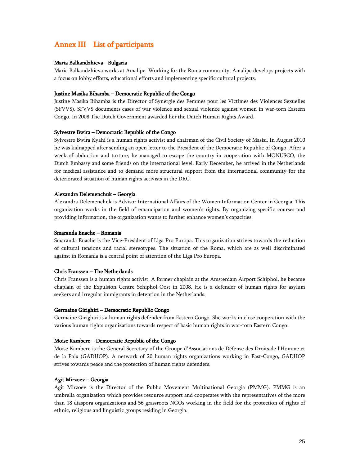# Annex III List of participants

### Maria Balkandzhieva - Bulgaria

Maria Balkandzhieva works at Amalipe. Working for the Roma community, Amalipe develops projects with a focus on lobby efforts, educational efforts and implementing specific cultural projects.

### Justine Masika Bihamba – Democratic Republic of the Congo

Justine Masika Bihamba is the Director of Synergie des Femmes pour les Victimes des Violences Sexuelles (SFVVS). SFVVS documents cases of war violence and sexual violence against women in war-torn Eastern Congo. In 2008 The Dutch Government awarded her the Dutch Human Rights Award.

### Sylvestre Bwira – Democratic Republic of the Congo

Sylvestre Bwira Kyahi is a human rights activist and chairman of the Civil Society of Masisi. In August 2010 he was kidnapped after sending an open letter to the President of the Democratic Republic of Congo. After a week of abduction and torture, he managed to escape the country in cooperation with MONUSCO, the Dutch Embassy and some friends on the international level. Early December, he arrived in the Netherlands for medical assistance and to demand more structural support from the international community for the deteriorated situation of human rights activists in the DRC.

### Alexandra Delemenchuk – Georgia

Alexandra Delemenchuk is Advisor International Affairs of the Women Information Center in Georgia. This organization works in the field of emancipation and women's rights. By organizing specific courses and providing information, the organization wants to further enhance women's capacities.

### Smaranda Enache – Romania

Smaranda Enache is the Vice-President of Liga Pro Europa. This organization strives towards the reduction of cultural tensions and racial stereotypes. The situation of the Roma, which are as well discriminated against in Romania is a central point of attention of the Liga Pro Europa.

### Chris Franssen – The Netherlands

Chris Franssen is a human rights activist. A former chaplain at the Amsterdam Airport Schiphol, he became chaplain of the Expulsion Centre Schiphol-Oost in 2008. He is a defender of human rights for asylum seekers and irregular immigrants in detention in the Netherlands.

### Germaine Girighiri – Democratic Republic Congo

Germaine Girighiri is a human rights defender from Eastern Congo. She works in close cooperation with the various human rights organizations towards respect of basic human rights in war-torn Eastern Congo.

#### Moise Kambere – Democratic Republic of the Congo

Moise Kambere is the General Secretary of the Groupe d'Associations de Défense des Droits de l'Homme et de la Paix (GADHOP). A network of 20 human rights organizations working in East-Congo, GADHOP strives towards peace and the protection of human rights defenders.

#### Agit Mirzoev – Georgia

Agit Mirzoev is the Director of the Public Movement Multinational Georgia (PMMG). PMMG is an umbrella organization which provides resource support and cooperates with the representatives of the more than 18 diaspora organizations and 56 grassroots NGOs working in the field for the protection of rights of ethnic, religious and linguistic groups residing in Georgia.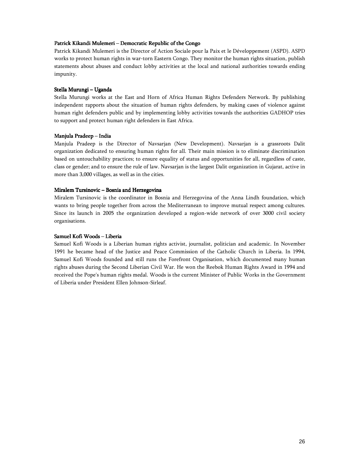### Patrick Kikandi Mulemeri – Democratic Republic of the Congo

Patrick Kikandi Mulemeri is the Director of Action Sociale pour la Paix et le Développement (ASPD). ASPD works to protect human rights in war-torn Eastern Congo. They monitor the human rights situation, publish statements about abuses and conduct lobby activities at the local and national authorities towards ending impunity.

### Stella Murungi – Uganda

Stella Murungi works at the East and Horn of Africa Human Rights Defenders Network. By publishing independent rapports about the situation of human rights defenders, by making cases of violence against human right defenders public and by implementing lobby activities towards the authorities GADHOP tries to support and protect human right defenders in East Africa.

#### Manjula Pradeep – India

Manjula Pradeep is the Director of Navsarjan (New Development). Navsarjan is a grassroots Dalit organization dedicated to ensuring human rights for all. Their main mission is to eliminate discrimination based on untouchability practices; to ensure equality of status and opportunities for all, regardless of caste, class or gender; and to ensure the rule of law. Navsarjan is the largest Dalit organization in Gujarat, active in more than 3,000 villages, as well as in the cities.

#### Miralem Tursinovic – Bosnia and Herzegovina

Miralem Tursinovic is the coordinator in Bosnia and Herzegovina of the Anna Lindh foundation, which wants to bring people together from across the Mediterranean to improve mutual respect among cultures. Since its launch in 2005 the organization developed a region-wide network of over 3000 civil society organisations.

### Samuel Kofi Woods – Liberia

Samuel Kofi Woods is a Liberian human rights activist, journalist, politician and academic. In November 1991 he became head of the Justice and Peace Commission of the Catholic Church in Liberia. In 1994, Samuel Kofi Woods founded and still runs the Forefront Organisation, which documented many human rights abuses during the Second Liberian Civil War. He won the Reebok Human Rights Award in 1994 and received the Pope's human rights medal. Woods is the current Minister of Public Works in the Government of Liberia under President Ellen Johnson-Sirleaf.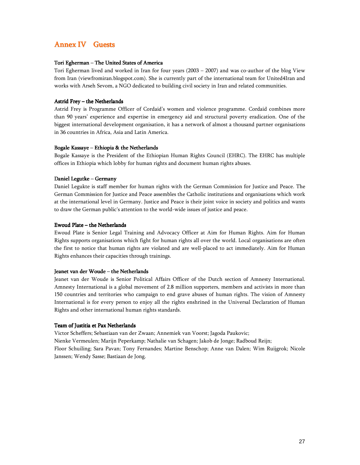## Annex IV Guests

### Tori Egherman – The United States of America

Tori Egherman lived and worked in Iran for four years (2003 – 2007) and was co-author of the blog View from Iran (viewfromiran.blogspot.com). She is currently part of the international team for United4Iran and works with Arseh Sevom, a NGO dedicated to building civil society in Iran and related communities.

### Astrid Frey – the Netherlands

Astrid Frey is Programme Officer of Cordaid's women and violence programme. Cordaid combines more than 90 years' experience and expertise in emergency aid and structural poverty eradication. One of the biggest international development organisation, it has a network of almost a thousand partner organisations in 36 countries in Africa, Asia and Latin America.

### Bogale Kassaye – Ethiopia & the Netherlands

Bogale Kassaye is the President of the Ethiopian Human Rights Council (EHRC). The EHRC has multiple offices in Ethiopia which lobby for human rights and document human rights abuses.

### Daniel Legutke – Germany

Daniel Legukte is staff member for human rights with the German Commission for Justice and Peace. The German Commission for Justice and Peace assembles the Catholic institutions and organisations which work at the international level in Germany. Justice and Peace is their joint voice in society and politics and wants to draw the German public's attention to the world-wide issues of justice and peace.

### Ewoud Plate – the Netherlands

Ewoud Plate is Senior Legal Training and Advocacy Officer at Aim for Human Rights. Aim for Human Rights supports organisations which fight for human rights all over the world. Local organisations are often the first to notice that human rights are violated and are well-placed to act immediately. Aim for Human Rights enhances their capacities through trainings.

### Jeanet van der Woude – the Netherlands

Jeanet van der Woude is Senior Political Affairs Officer of the Dutch section of Amnesty International. Amnesty International is a global movement of 2.8 million supporters, members and activists in more than 150 countries and territories who campaign to end grave abuses of human rights. The vision of Amnesty International is for every person to enjoy all the rights enshrined in the Universal Declaration of Human Rights and other international human rights standards.

### Team of Justitia et Pax Netherlands

Victor Scheffers; Sebastiaan van der Zwaan; Annemiek van Voorst; Jagoda Paukovic; Nienke Vermeulen; Marijn Peperkamp; Nathalie van Schagen; Jakob de Jonge; Radboud Reijn; Floor Schuiling; Sara Pavan; Tony Fernandes; Martine Benschop; Anne van Dalen; Wim Ruijgrok; Nicole Janssen; Wendy Sasse; Bastiaan de Jong.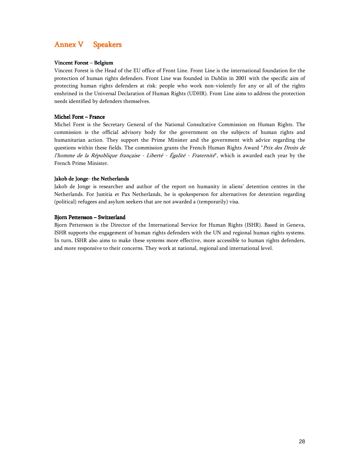# Annex V Speakers

### Vincent Forest – Belgium

Vincent Forest is the Head of the EU office of Front Line. Front Line is the international foundation for the protection of human rights defenders. Front Line was founded in Dublin in 2001 with the specific aim of protecting human rights defenders at risk: people who work non-violently for any or all of the rights enshrined in the Universal Declaration of Human Rights (UDHR). Front Line aims to address the protection needs identified by defenders themselves.

### Michel Forst – France

Michel Forst is the Secretary General of the National Consultative Commission on Human Rights. The commission is the official advisory body for the government on the subjects of human rights and humanitarian action. They support the Prime Minister and the government with advice regarding the questions within these fields. The commission grants the French Human Rights Award "Prix des Droits de l'homme de la République française - Liberté - Égalité - Fraternité", which is awarded each year by the French Prime Minister.

### Jakob de Jonge- the Netherlands

Jakob de Jonge is researcher and author of the report on humanity in aliens' detention centres in the Netherlands. For Justitia et Pax Netherlands, he is spokesperson for alternatives for detention regarding (political) refugees and asylum seekers that are not awarded a (temporarily) visa.

### Bjorn Pettersson – Switzerland

Bjorn Pettersson is the Director of the International Service for Human Rights (ISHR). Based in Geneva, ISHR supports the engagement of human rights defenders with the UN and regional human rights systems. In turn, ISHR also aims to make these systems more effective, more accessible to human rights defenders, and more responsive to their concerns. They work at national, regional and international level.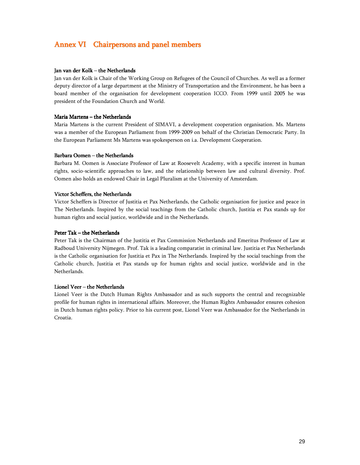# Annex VI Chairpersons and panel members

### Jan van der Kolk – the Netherlands

Jan van der Kolk is Chair of the Working Group on Refugees of the Council of Churches. As well as a former deputy director of a large department at the Ministry of Transportation and the Environment, he has been a board member of the organisation for development cooperation ICCO. From 1999 until 2005 he was president of the Foundation Church and World.

### Maria Martens – the Netherlands

Maria Martens is the current President of SIMAVI, a development cooperation organisation. Ms. Martens was a member of the European Parliament from 1999-2009 on behalf of the Christian Democratic Party. In the European Parliament Ms Martens was spokesperson on i.a. Development Cooperation.

### Barbara Oomen – the Netherlands

Barbara M. Oomen is Associate Professor of Law at Roosevelt Academy, with a specific interest in human rights, socio-scientific approaches to law, and the relationship between law and cultural diversity. Prof. Oomen also holds an endowed Chair in Legal Pluralism at the University of Amsterdam.

### Victor Scheffers, the Netherlands

Victor Scheffers is Director of Justitia et Pax Netherlands, the Catholic organisation for justice and peace in The Netherlands. Inspired by the social teachings from the Catholic church, Justitia et Pax stands up for human rights and social justice, worldwide and in the Netherlands.

### Peter Tak – the Netherlands

Peter Tak is the Chairman of the Justitia et Pax Commission Netherlands and Emeritus Professor of Law at Radboud University Nijmegen. Prof. Tak is a leading comparatist in criminal law. Justitia et Pax Netherlands is the Catholic organisation for Justitia et Pax in The Netherlands. Inspired by the social teachings from the Catholic church, Justitia et Pax stands up for human rights and social justice, worldwide and in the Netherlands.

### Lionel Veer – the Netherlands

Lionel Veer is the Dutch Human Rights Ambassador and as such supports the central and recognizable profile for human rights in international affairs. Moreover, the Human Rights Ambassador ensures cohesion in Dutch human rights policy. Prior to his current post, Lionel Veer was Ambassador for the Netherlands in Croatia.